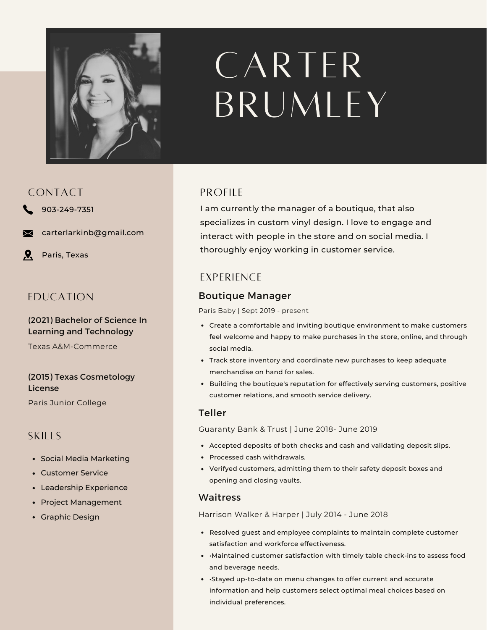

# CARTER BRUMLEY

# CONTACT

- 903-249-7351
- carterlarkinb@gmail.com
- $\mathbf{Q}$ Paris, Texas

# EDUCATION

#### (2021) Bachelor of Science In Learning and Technology

Texas A&M-Commerce

#### (2015) Texas Cosmetology License

Paris Junior College

# SKILLS

- Social Media Marketing
- Customer Service
- Leadership Experience
- Project Management
- Graphic Design

## **PROFILE**

I am currently the manager of a boutique, that also specializes in custom vinyl design. I love to engage and interact with people in the store and on social media. I thoroughly enjoy working in customer service.

# **EXPERIENCE**

# Boutique Manager

Paris Baby | Sept 2019 - present

- Create a comfortable and inviting boutique environment to make customers feel welcome and happy to make purchases in the store, online, and through social media.
- Track store inventory and coordinate new purchases to keep adequate merchandise on hand for sales.
- **•** Building the boutique's reputation for effectively serving customers, positive customer relations, and smooth service delivery.

## Teller

Guaranty Bank & Trust | June 2018- June 2019

- Accepted deposits of both checks and cash and validating deposit slips.
- Processed cash withdrawals.
- Verifyed customers, admitting them to their safety deposit boxes and opening and closing vaults.

#### Waitress

Harrison Walker & Harper | July 2014 - June 2018

- Resolved guest and employee complaints to maintain complete customer satisfaction and workforce effectiveness.
- •Maintained customer satisfaction with timely table check-ins to assess food and beverage needs.
- •Stayed up-to-date on menu changes to offer current and accurate information and help customers select optimal meal choices based on individual preferences.